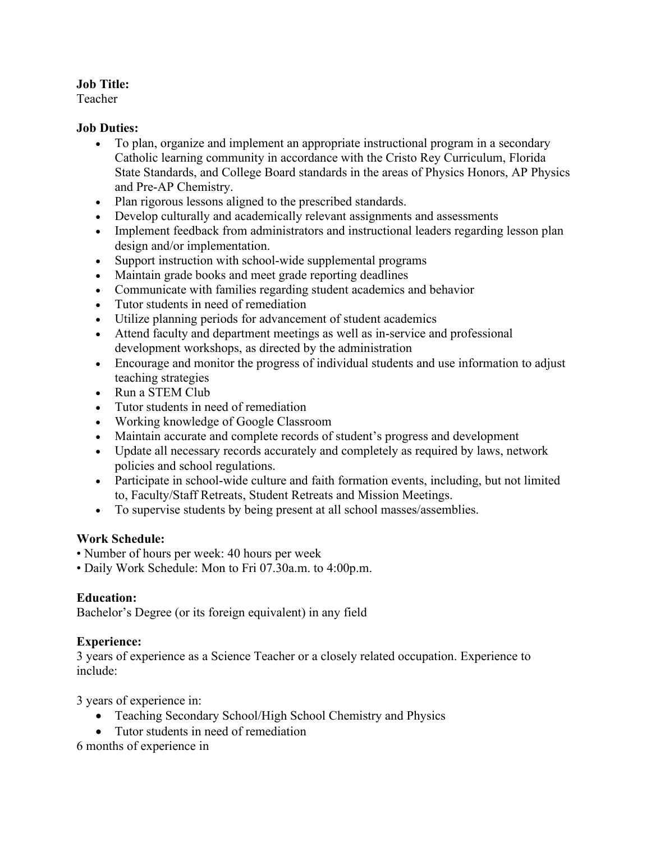### **Job Title:**

Teacher

### **Job Duties:**

- To plan, organize and implement an appropriate instructional program in a secondary Catholic learning community in accordance with the Cristo Rey Curriculum, Florida State Standards, and College Board standards in the areas of Physics Honors, AP Physics and Pre-AP Chemistry.
- Plan rigorous lessons aligned to the prescribed standards.
- Develop culturally and academically relevant assignments and assessments
- Implement feedback from administrators and instructional leaders regarding lesson plan design and/or implementation.
- Support instruction with school-wide supplemental programs
- Maintain grade books and meet grade reporting deadlines
- Communicate with families regarding student academics and behavior
- Tutor students in need of remediation
- Utilize planning periods for advancement of student academics
- Attend faculty and department meetings as well as in-service and professional development workshops, as directed by the administration
- Encourage and monitor the progress of individual students and use information to adjust teaching strategies
- Run a STEM Club
- Tutor students in need of remediation
- Working knowledge of Google Classroom
- Maintain accurate and complete records of student's progress and development
- Update all necessary records accurately and completely as required by laws, network policies and school regulations.
- Participate in school-wide culture and faith formation events, including, but not limited to, Faculty/Staff Retreats, Student Retreats and Mission Meetings.
- To supervise students by being present at all school masses/assemblies.

# **Work Schedule:**

- Number of hours per week: 40 hours per week
- Daily Work Schedule: Mon to Fri 07.30a.m. to 4:00p.m.

# **Education:**

Bachelor's Degree (or its foreign equivalent) in any field

# **Experience:**

3 years of experience as a Science Teacher or a closely related occupation. Experience to include:

3 years of experience in:

- Teaching Secondary School/High School Chemistry and Physics
- Tutor students in need of remediation

6 months of experience in